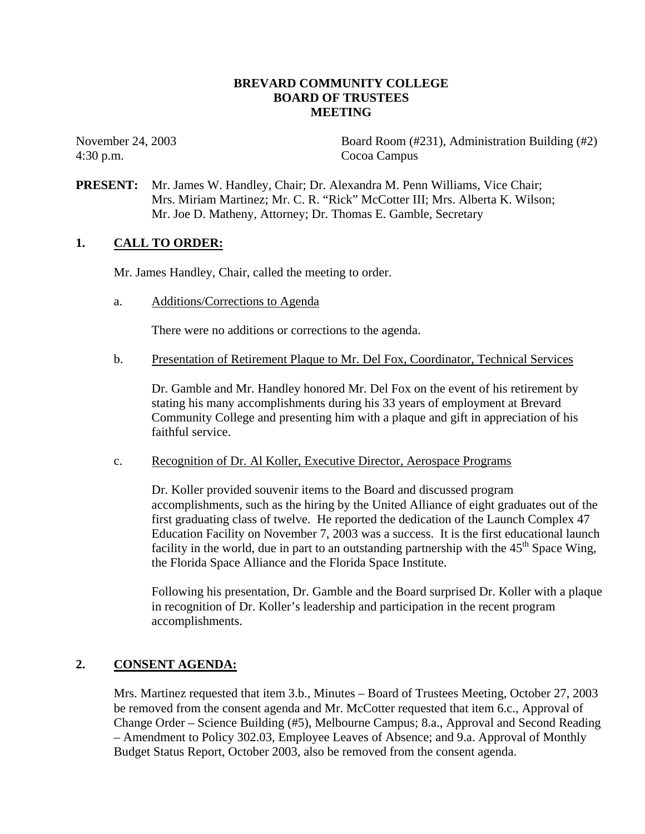## **BREVARD COMMUNITY COLLEGE BOARD OF TRUSTEES MEETING**

4:30 p.m. Cocoa Campus

November 24, 2003 Board Room (#231), Administration Building (#2)

**PRESENT:** Mr. James W. Handley, Chair; Dr. Alexandra M. Penn Williams, Vice Chair; Mrs. Miriam Martinez; Mr. C. R. "Rick" McCotter III; Mrs. Alberta K. Wilson; Mr. Joe D. Matheny, Attorney; Dr. Thomas E. Gamble, Secretary

## **1. CALL TO ORDER:**

Mr. James Handley, Chair, called the meeting to order.

a. Additions/Corrections to Agenda

There were no additions or corrections to the agenda.

b. Presentation of Retirement Plaque to Mr. Del Fox, Coordinator, Technical Services

Dr. Gamble and Mr. Handley honored Mr. Del Fox on the event of his retirement by stating his many accomplishments during his 33 years of employment at Brevard Community College and presenting him with a plaque and gift in appreciation of his faithful service.

c. Recognition of Dr. Al Koller, Executive Director, Aerospace Programs

Dr. Koller provided souvenir items to the Board and discussed program accomplishments, such as the hiring by the United Alliance of eight graduates out of the first graduating class of twelve. He reported the dedication of the Launch Complex 47 Education Facility on November 7, 2003 was a success. It is the first educational launch facility in the world, due in part to an outstanding partnership with the  $45<sup>th</sup>$  Space Wing, the Florida Space Alliance and the Florida Space Institute.

Following his presentation, Dr. Gamble and the Board surprised Dr. Koller with a plaque in recognition of Dr. Koller's leadership and participation in the recent program accomplishments.

## **2. CONSENT AGENDA:**

Mrs. Martinez requested that item 3.b., Minutes – Board of Trustees Meeting, October 27, 2003 be removed from the consent agenda and Mr. McCotter requested that item 6.c., Approval of Change Order – Science Building (#5), Melbourne Campus; 8.a., Approval and Second Reading – Amendment to Policy 302.03, Employee Leaves of Absence; and 9.a. Approval of Monthly Budget Status Report, October 2003, also be removed from the consent agenda.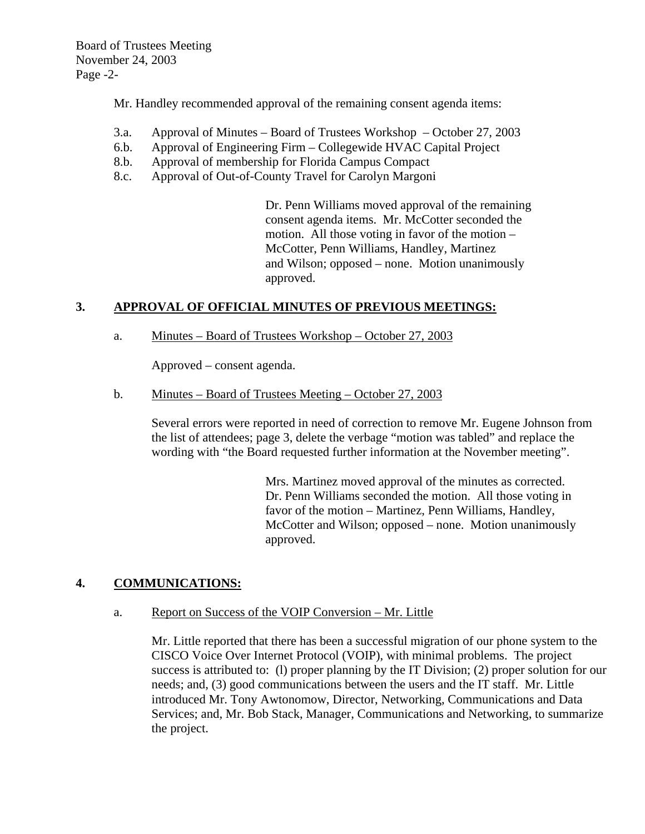Mr. Handley recommended approval of the remaining consent agenda items:

- 3.a. Approval of Minutes Board of Trustees Workshop October 27, 2003
- 6.b. Approval of Engineering Firm Collegewide HVAC Capital Project
- 8.b. Approval of membership for Florida Campus Compact
- 8.c. Approval of Out-of-County Travel for Carolyn Margoni

Dr. Penn Williams moved approval of the remaining consent agenda items. Mr. McCotter seconded the motion. All those voting in favor of the motion – McCotter, Penn Williams, Handley, Martinez and Wilson; opposed – none. Motion unanimously approved.

## **3. APPROVAL OF OFFICIAL MINUTES OF PREVIOUS MEETINGS:**

a. Minutes – Board of Trustees Workshop – October 27, 2003

Approved – consent agenda.

b. Minutes – Board of Trustees Meeting – October 27, 2003

Several errors were reported in need of correction to remove Mr. Eugene Johnson from the list of attendees; page 3, delete the verbage "motion was tabled" and replace the wording with "the Board requested further information at the November meeting".

> Mrs. Martinez moved approval of the minutes as corrected. Dr. Penn Williams seconded the motion. All those voting in favor of the motion – Martinez, Penn Williams, Handley, McCotter and Wilson; opposed – none. Motion unanimously approved.

## **4. COMMUNICATIONS:**

## a. Report on Success of the VOIP Conversion – Mr. Little

Mr. Little reported that there has been a successful migration of our phone system to the CISCO Voice Over Internet Protocol (VOIP), with minimal problems. The project success is attributed to: (l) proper planning by the IT Division; (2) proper solution for our needs; and, (3) good communications between the users and the IT staff. Mr. Little introduced Mr. Tony Awtonomow, Director, Networking, Communications and Data Services; and, Mr. Bob Stack, Manager, Communications and Networking, to summarize the project.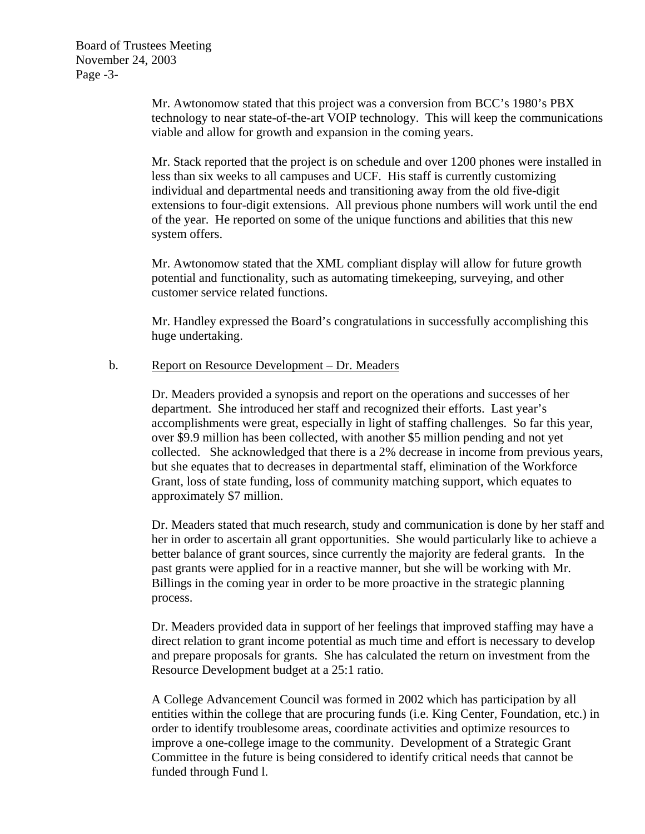Mr. Awtonomow stated that this project was a conversion from BCC's 1980's PBX technology to near state-of-the-art VOIP technology. This will keep the communications viable and allow for growth and expansion in the coming years.

Mr. Stack reported that the project is on schedule and over 1200 phones were installed in less than six weeks to all campuses and UCF. His staff is currently customizing individual and departmental needs and transitioning away from the old five-digit extensions to four-digit extensions. All previous phone numbers will work until the end of the year. He reported on some of the unique functions and abilities that this new system offers.

Mr. Awtonomow stated that the XML compliant display will allow for future growth potential and functionality, such as automating timekeeping, surveying, and other customer service related functions.

Mr. Handley expressed the Board's congratulations in successfully accomplishing this huge undertaking.

## b. Report on Resource Development – Dr. Meaders

Dr. Meaders provided a synopsis and report on the operations and successes of her department. She introduced her staff and recognized their efforts. Last year's accomplishments were great, especially in light of staffing challenges. So far this year, over \$9.9 million has been collected, with another \$5 million pending and not yet collected. She acknowledged that there is a 2% decrease in income from previous years, but she equates that to decreases in departmental staff, elimination of the Workforce Grant, loss of state funding, loss of community matching support, which equates to approximately \$7 million.

Dr. Meaders stated that much research, study and communication is done by her staff and her in order to ascertain all grant opportunities. She would particularly like to achieve a better balance of grant sources, since currently the majority are federal grants. In the past grants were applied for in a reactive manner, but she will be working with Mr. Billings in the coming year in order to be more proactive in the strategic planning process.

Dr. Meaders provided data in support of her feelings that improved staffing may have a direct relation to grant income potential as much time and effort is necessary to develop and prepare proposals for grants. She has calculated the return on investment from the Resource Development budget at a 25:1 ratio.

A College Advancement Council was formed in 2002 which has participation by all entities within the college that are procuring funds (i.e. King Center, Foundation, etc.) in order to identify troublesome areas, coordinate activities and optimize resources to improve a one-college image to the community. Development of a Strategic Grant Committee in the future is being considered to identify critical needs that cannot be funded through Fund l.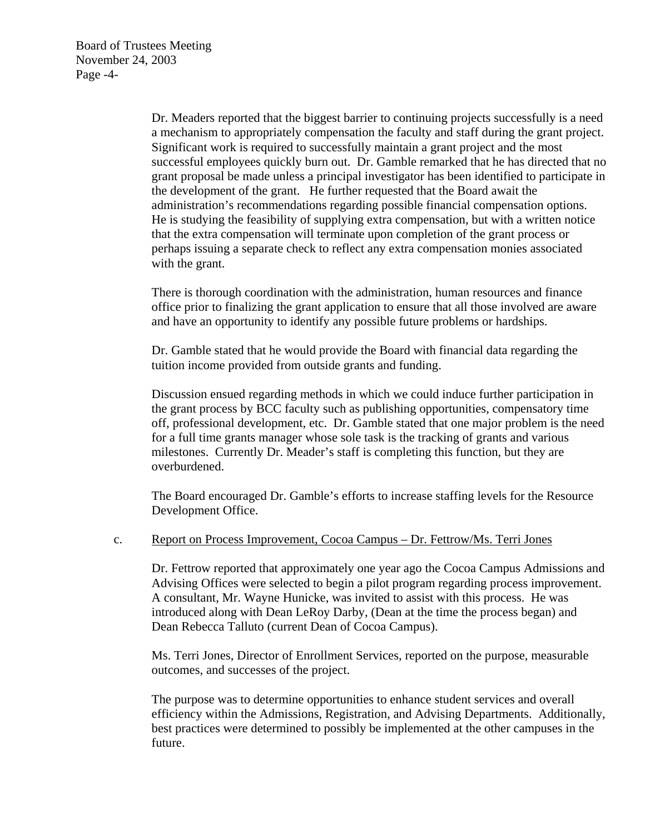Dr. Meaders reported that the biggest barrier to continuing projects successfully is a need a mechanism to appropriately compensation the faculty and staff during the grant project. Significant work is required to successfully maintain a grant project and the most successful employees quickly burn out. Dr. Gamble remarked that he has directed that no grant proposal be made unless a principal investigator has been identified to participate in the development of the grant. He further requested that the Board await the administration's recommendations regarding possible financial compensation options. He is studying the feasibility of supplying extra compensation, but with a written notice that the extra compensation will terminate upon completion of the grant process or perhaps issuing a separate check to reflect any extra compensation monies associated with the grant.

There is thorough coordination with the administration, human resources and finance office prior to finalizing the grant application to ensure that all those involved are aware and have an opportunity to identify any possible future problems or hardships.

Dr. Gamble stated that he would provide the Board with financial data regarding the tuition income provided from outside grants and funding.

Discussion ensued regarding methods in which we could induce further participation in the grant process by BCC faculty such as publishing opportunities, compensatory time off, professional development, etc. Dr. Gamble stated that one major problem is the need for a full time grants manager whose sole task is the tracking of grants and various milestones. Currently Dr. Meader's staff is completing this function, but they are overburdened.

The Board encouraged Dr. Gamble's efforts to increase staffing levels for the Resource Development Office.

#### c. Report on Process Improvement, Cocoa Campus – Dr. Fettrow/Ms. Terri Jones

Dr. Fettrow reported that approximately one year ago the Cocoa Campus Admissions and Advising Offices were selected to begin a pilot program regarding process improvement. A consultant, Mr. Wayne Hunicke, was invited to assist with this process. He was introduced along with Dean LeRoy Darby, (Dean at the time the process began) and Dean Rebecca Talluto (current Dean of Cocoa Campus).

Ms. Terri Jones, Director of Enrollment Services, reported on the purpose, measurable outcomes, and successes of the project.

The purpose was to determine opportunities to enhance student services and overall efficiency within the Admissions, Registration, and Advising Departments. Additionally, best practices were determined to possibly be implemented at the other campuses in the future.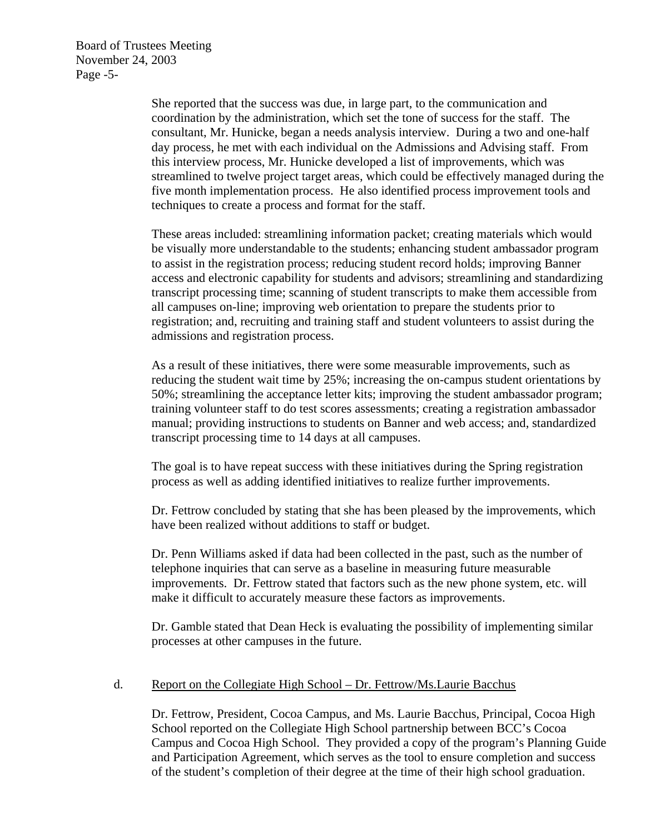Board of Trustees Meeting November 24, 2003 Page -5-

> She reported that the success was due, in large part, to the communication and coordination by the administration, which set the tone of success for the staff. The consultant, Mr. Hunicke, began a needs analysis interview. During a two and one-half day process, he met with each individual on the Admissions and Advising staff. From this interview process, Mr. Hunicke developed a list of improvements, which was streamlined to twelve project target areas, which could be effectively managed during the five month implementation process. He also identified process improvement tools and techniques to create a process and format for the staff.

> These areas included: streamlining information packet; creating materials which would be visually more understandable to the students; enhancing student ambassador program to assist in the registration process; reducing student record holds; improving Banner access and electronic capability for students and advisors; streamlining and standardizing transcript processing time; scanning of student transcripts to make them accessible from all campuses on-line; improving web orientation to prepare the students prior to registration; and, recruiting and training staff and student volunteers to assist during the admissions and registration process.

> As a result of these initiatives, there were some measurable improvements, such as reducing the student wait time by 25%; increasing the on-campus student orientations by 50%; streamlining the acceptance letter kits; improving the student ambassador program; training volunteer staff to do test scores assessments; creating a registration ambassador manual; providing instructions to students on Banner and web access; and, standardized transcript processing time to 14 days at all campuses.

The goal is to have repeat success with these initiatives during the Spring registration process as well as adding identified initiatives to realize further improvements.

Dr. Fettrow concluded by stating that she has been pleased by the improvements, which have been realized without additions to staff or budget.

Dr. Penn Williams asked if data had been collected in the past, such as the number of telephone inquiries that can serve as a baseline in measuring future measurable improvements. Dr. Fettrow stated that factors such as the new phone system, etc. will make it difficult to accurately measure these factors as improvements.

Dr. Gamble stated that Dean Heck is evaluating the possibility of implementing similar processes at other campuses in the future.

## d. Report on the Collegiate High School – Dr. Fettrow/Ms.Laurie Bacchus

Dr. Fettrow, President, Cocoa Campus, and Ms. Laurie Bacchus, Principal, Cocoa High School reported on the Collegiate High School partnership between BCC's Cocoa Campus and Cocoa High School. They provided a copy of the program's Planning Guide and Participation Agreement, which serves as the tool to ensure completion and success of the student's completion of their degree at the time of their high school graduation.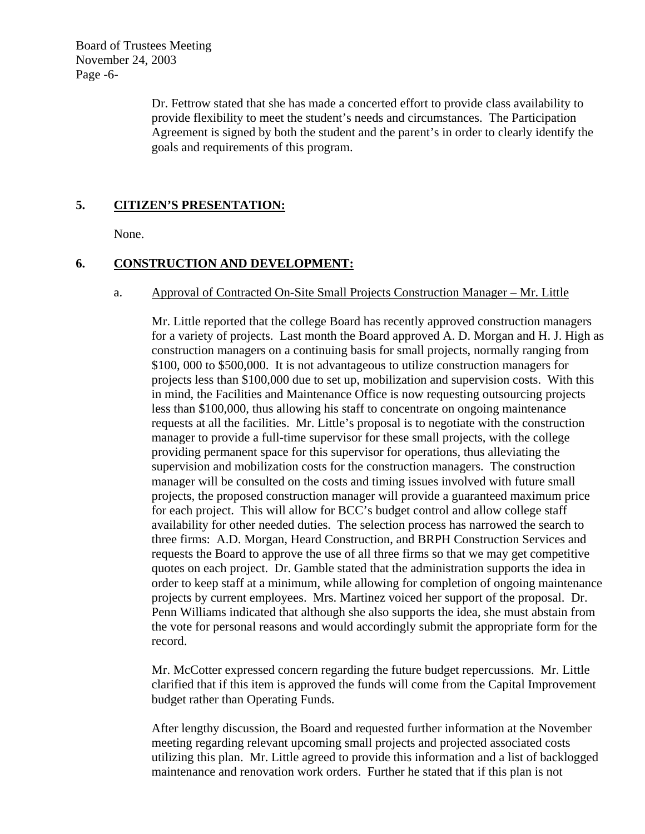Board of Trustees Meeting November 24, 2003 Page -6-

> Dr. Fettrow stated that she has made a concerted effort to provide class availability to provide flexibility to meet the student's needs and circumstances. The Participation Agreement is signed by both the student and the parent's in order to clearly identify the goals and requirements of this program.

## **5. CITIZEN'S PRESENTATION:**

None.

## **6. CONSTRUCTION AND DEVELOPMENT:**

## a. Approval of Contracted On-Site Small Projects Construction Manager – Mr. Little

Mr. Little reported that the college Board has recently approved construction managers for a variety of projects. Last month the Board approved A. D. Morgan and H. J. High as construction managers on a continuing basis for small projects, normally ranging from \$100, 000 to \$500,000. It is not advantageous to utilize construction managers for projects less than \$100,000 due to set up, mobilization and supervision costs. With this in mind, the Facilities and Maintenance Office is now requesting outsourcing projects less than \$100,000, thus allowing his staff to concentrate on ongoing maintenance requests at all the facilities. Mr. Little's proposal is to negotiate with the construction manager to provide a full-time supervisor for these small projects, with the college providing permanent space for this supervisor for operations, thus alleviating the supervision and mobilization costs for the construction managers. The construction manager will be consulted on the costs and timing issues involved with future small projects, the proposed construction manager will provide a guaranteed maximum price for each project. This will allow for BCC's budget control and allow college staff availability for other needed duties. The selection process has narrowed the search to three firms: A.D. Morgan, Heard Construction, and BRPH Construction Services and requests the Board to approve the use of all three firms so that we may get competitive quotes on each project. Dr. Gamble stated that the administration supports the idea in order to keep staff at a minimum, while allowing for completion of ongoing maintenance projects by current employees. Mrs. Martinez voiced her support of the proposal. Dr. Penn Williams indicated that although she also supports the idea, she must abstain from the vote for personal reasons and would accordingly submit the appropriate form for the record.

Mr. McCotter expressed concern regarding the future budget repercussions. Mr. Little clarified that if this item is approved the funds will come from the Capital Improvement budget rather than Operating Funds.

After lengthy discussion, the Board and requested further information at the November meeting regarding relevant upcoming small projects and projected associated costs utilizing this plan. Mr. Little agreed to provide this information and a list of backlogged maintenance and renovation work orders. Further he stated that if this plan is not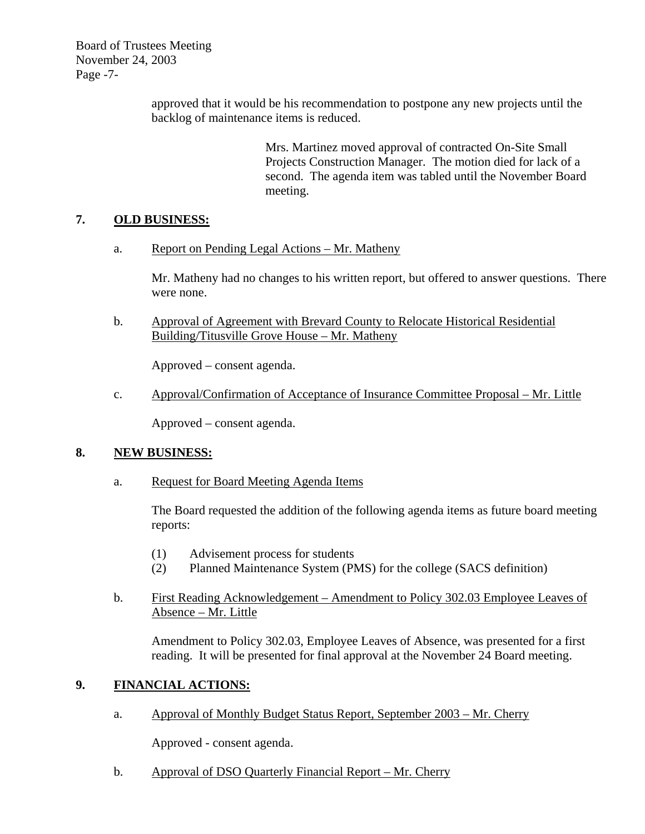Board of Trustees Meeting November 24, 2003 Page -7-

> approved that it would be his recommendation to postpone any new projects until the backlog of maintenance items is reduced.

> > Mrs. Martinez moved approval of contracted On-Site Small Projects Construction Manager. The motion died for lack of a second. The agenda item was tabled until the November Board meeting.

## **7. OLD BUSINESS:**

a. Report on Pending Legal Actions – Mr. Matheny

Mr. Matheny had no changes to his written report, but offered to answer questions. There were none.

b. Approval of Agreement with Brevard County to Relocate Historical Residential Building/Titusville Grove House – Mr. Matheny

Approved – consent agenda.

c. Approval/Confirmation of Acceptance of Insurance Committee Proposal – Mr. Little

Approved – consent agenda.

## **8. NEW BUSINESS:**

a. Request for Board Meeting Agenda Items

The Board requested the addition of the following agenda items as future board meeting reports:

- (1) Advisement process for students
- (2) Planned Maintenance System (PMS) for the college (SACS definition)
- b. First Reading Acknowledgement Amendment to Policy 302.03 Employee Leaves of Absence – Mr. Little

Amendment to Policy 302.03, Employee Leaves of Absence, was presented for a first reading. It will be presented for final approval at the November 24 Board meeting.

# **9. FINANCIAL ACTIONS:**

a. Approval of Monthly Budget Status Report, September 2003 – Mr. Cherry

Approved - consent agenda.

b. Approval of DSO Quarterly Financial Report – Mr. Cherry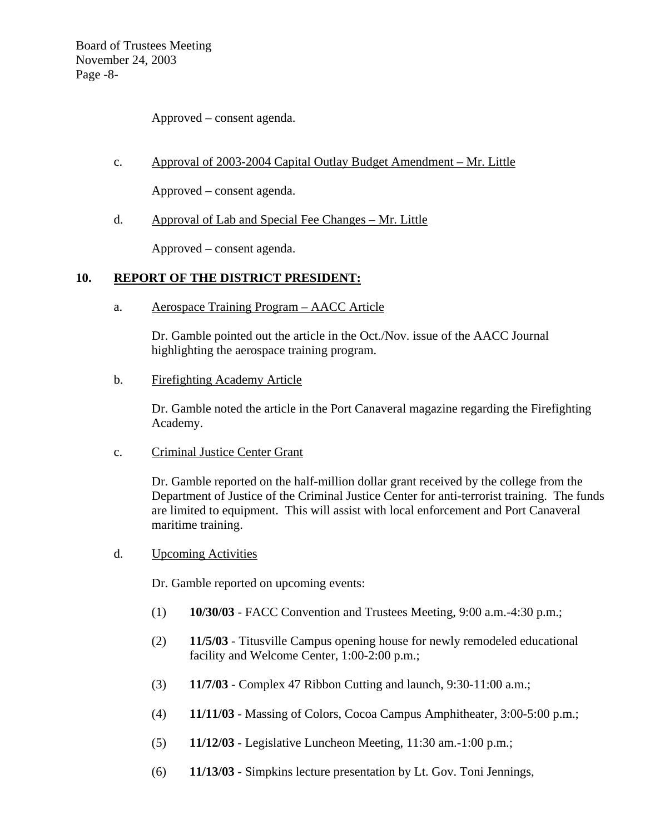Board of Trustees Meeting November 24, 2003 Page -8-

Approved – consent agenda.

c. Approval of 2003-2004 Capital Outlay Budget Amendment – Mr. Little

Approved – consent agenda.

d. Approval of Lab and Special Fee Changes – Mr. Little

Approved – consent agenda.

## **10. REPORT OF THE DISTRICT PRESIDENT:**

a. Aerospace Training Program – AACC Article

Dr. Gamble pointed out the article in the Oct./Nov. issue of the AACC Journal highlighting the aerospace training program.

b. Firefighting Academy Article

Dr. Gamble noted the article in the Port Canaveral magazine regarding the Firefighting Academy.

c. Criminal Justice Center Grant

Dr. Gamble reported on the half-million dollar grant received by the college from the Department of Justice of the Criminal Justice Center for anti-terrorist training. The funds are limited to equipment. This will assist with local enforcement and Port Canaveral maritime training.

d. Upcoming Activities

Dr. Gamble reported on upcoming events:

- (1) **10/30/03** FACC Convention and Trustees Meeting, 9:00 a.m.-4:30 p.m.;
- (2) **11/5/03** Titusville Campus opening house for newly remodeled educational facility and Welcome Center, 1:00-2:00 p.m.;
- (3) **11/7/03** Complex 47 Ribbon Cutting and launch, 9:30-11:00 a.m.;
- (4) **11/11/03** Massing of Colors, Cocoa Campus Amphitheater, 3:00-5:00 p.m.;
- (5) **11/12/03** Legislative Luncheon Meeting, 11:30 am.-1:00 p.m.;
- (6) **11/13/03** Simpkins lecture presentation by Lt. Gov. Toni Jennings,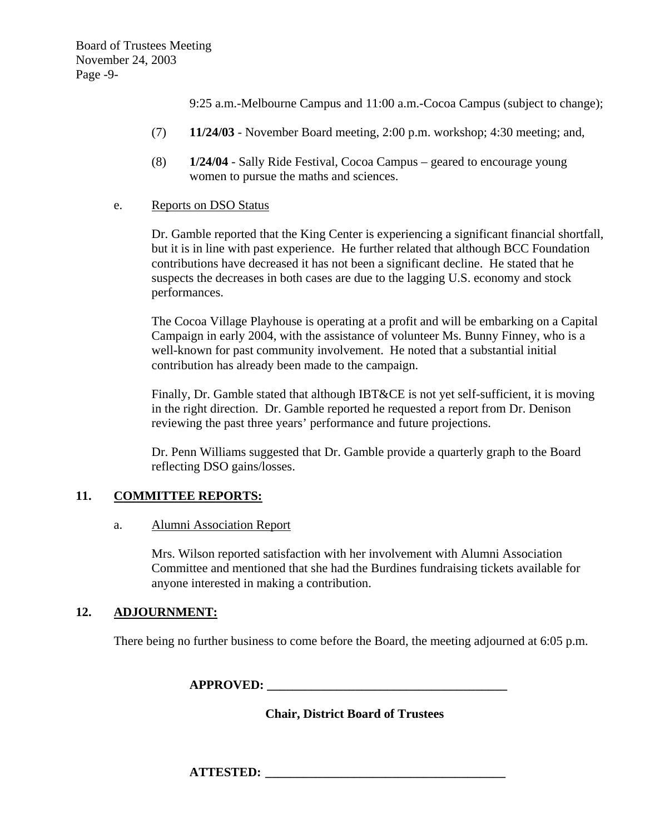Board of Trustees Meeting November 24, 2003 Page -9-

9:25 a.m.-Melbourne Campus and 11:00 a.m.-Cocoa Campus (subject to change);

- (7) **11/24/03** November Board meeting, 2:00 p.m. workshop; 4:30 meeting; and,
- (8) **1/24/04** Sally Ride Festival, Cocoa Campus geared to encourage young women to pursue the maths and sciences.
- e. Reports on DSO Status

Dr. Gamble reported that the King Center is experiencing a significant financial shortfall, but it is in line with past experience. He further related that although BCC Foundation contributions have decreased it has not been a significant decline. He stated that he suspects the decreases in both cases are due to the lagging U.S. economy and stock performances.

The Cocoa Village Playhouse is operating at a profit and will be embarking on a Capital Campaign in early 2004, with the assistance of volunteer Ms. Bunny Finney, who is a well-known for past community involvement. He noted that a substantial initial contribution has already been made to the campaign.

Finally, Dr. Gamble stated that although IBT&CE is not yet self-sufficient, it is moving in the right direction. Dr. Gamble reported he requested a report from Dr. Denison reviewing the past three years' performance and future projections.

 Dr. Penn Williams suggested that Dr. Gamble provide a quarterly graph to the Board reflecting DSO gains/losses.

## **11. COMMITTEE REPORTS:**

#### a. Alumni Association Report

Mrs. Wilson reported satisfaction with her involvement with Alumni Association Committee and mentioned that she had the Burdines fundraising tickets available for anyone interested in making a contribution.

## **12. ADJOURNMENT:**

There being no further business to come before the Board, the meeting adjourned at 6:05 p.m.

**APPROVED:** 

 **Chair, District Board of Trustees** 

 $\bf ATTESTED:$